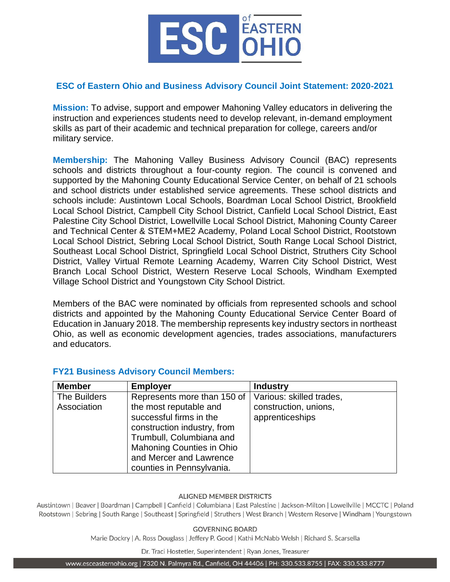

## **ESC of Eastern Ohio and Business Advisory Council Joint Statement: 2020-2021**

**Mission:** To advise, support and empower Mahoning Valley educators in delivering the instruction and experiences students need to develop relevant, in-demand employment skills as part of their academic and technical preparation for college, careers and/or military service.

**Membership:** The Mahoning Valley Business Advisory Council (BAC) represents schools and districts throughout a four-county region. The council is convened and supported by the Mahoning County Educational Service Center, on behalf of 21 schools and school districts under established service agreements. These school districts and schools include: Austintown Local Schools, Boardman Local School District, Brookfield Local School District, Campbell City School District, Canfield Local School District, East Palestine City School District, Lowellville Local School District, Mahoning County Career and Technical Center & STEM+ME2 Academy, Poland Local School District, Rootstown Local School District, Sebring Local School District, South Range Local School District, Southeast Local School District, Springfield Local School District, Struthers City School District, Valley Virtual Remote Learning Academy, Warren City School District, West Branch Local School District, Western Reserve Local Schools, Windham Exempted Village School District and Youngstown City School District.

Members of the BAC were nominated by officials from represented schools and school districts and appointed by the Mahoning County Educational Service Center Board of Education in January 2018. The membership represents key industry sectors in northeast Ohio, as well as economic development agencies, trades associations, manufacturers and educators.

| <b>Member</b>               | <b>Employer</b>                                                                                                                                                          | <b>Industry</b>                                                      |
|-----------------------------|--------------------------------------------------------------------------------------------------------------------------------------------------------------------------|----------------------------------------------------------------------|
| The Builders<br>Association | Represents more than 150 of<br>the most reputable and<br>successful firms in the<br>construction industry, from<br>Trumbull, Columbiana and<br>Mahoning Counties in Ohio | Various: skilled trades,<br>construction, unions,<br>apprenticeships |
|                             | and Mercer and Lawrence<br>counties in Pennsylvania.                                                                                                                     |                                                                      |

# **FY21 Business Advisory Council Members:**

#### **ALIGNED MEMBER DISTRICTS**

Austintown | Beaver | Boardman | Campbell | Canfield | Columbiana | East Palestine | Jackson-Milton | Lowellville | MCCTC | Poland Rootstown | Sebring | South Range | Southeast | Springfield | Struthers | West Branch | Western Reserve | Windham | Youngstown

#### **GOVERNING BOARD**

Marie Dockry | A. Ross Douglass | Jeffery P. Good | Kathi McNabb Welsh | Richard S. Scarsella

Dr. Traci Hostetler, Superintendent | Ryan Jones, Treasurer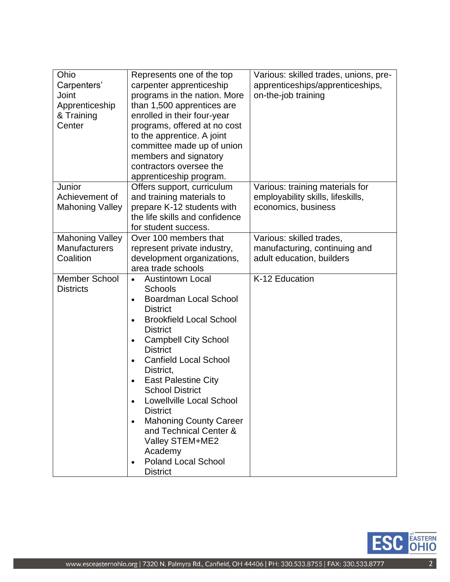| Ohio<br>Carpenters'<br>Joint<br>Apprenticeship<br>& Training<br>Center | Represents one of the top<br>carpenter apprenticeship<br>programs in the nation. More<br>than 1,500 apprentices are<br>enrolled in their four-year<br>programs, offered at no cost<br>to the apprentice. A joint<br>committee made up of union<br>members and signatory<br>contractors oversee the<br>apprenticeship program.                                                                                                                                                                                                                                                          | Various: skilled trades, unions, pre-<br>apprenticeships/apprenticeships,<br>on-the-job training |
|------------------------------------------------------------------------|----------------------------------------------------------------------------------------------------------------------------------------------------------------------------------------------------------------------------------------------------------------------------------------------------------------------------------------------------------------------------------------------------------------------------------------------------------------------------------------------------------------------------------------------------------------------------------------|--------------------------------------------------------------------------------------------------|
| Junior<br>Achievement of<br><b>Mahoning Valley</b>                     | Offers support, curriculum<br>and training materials to<br>prepare K-12 students with<br>the life skills and confidence<br>for student success.                                                                                                                                                                                                                                                                                                                                                                                                                                        | Various: training materials for<br>employability skills, lifeskills,<br>economics, business      |
| <b>Mahoning Valley</b><br><b>Manufacturers</b><br>Coalition            | Over 100 members that<br>represent private industry,<br>development organizations,<br>area trade schools                                                                                                                                                                                                                                                                                                                                                                                                                                                                               | Various: skilled trades,<br>manufacturing, continuing and<br>adult education, builders           |
| <b>Member School</b><br><b>Districts</b>                               | <b>Austintown Local</b><br>$\bullet$<br><b>Schools</b><br><b>Boardman Local School</b><br>$\bullet$<br><b>District</b><br><b>Brookfield Local School</b><br>$\bullet$<br><b>District</b><br><b>Campbell City School</b><br>$\bullet$<br><b>District</b><br><b>Canfield Local School</b><br>$\bullet$<br>District,<br><b>East Palestine City</b><br><b>School District</b><br><b>Lowellville Local School</b><br><b>District</b><br><b>Mahoning County Career</b><br>$\bullet$<br>and Technical Center &<br>Valley STEM+ME2<br>Academy<br><b>Poland Local School</b><br><b>District</b> | K-12 Education                                                                                   |

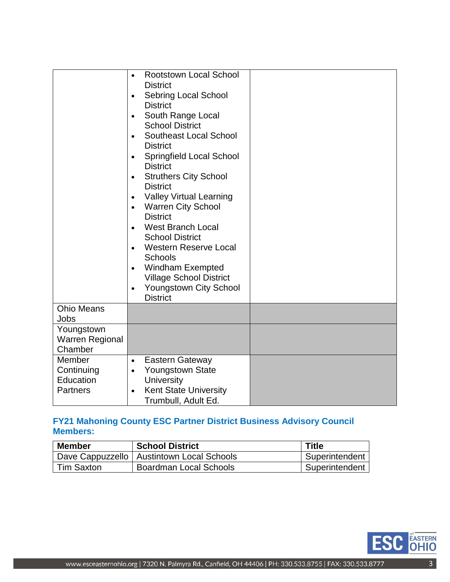|                                                      | <b>Rootstown Local School</b><br>$\bullet$<br><b>District</b><br><b>Sebring Local School</b><br>$\bullet$<br><b>District</b><br>South Range Local<br>$\bullet$<br><b>School District</b><br>Southeast Local School<br>$\bullet$<br><b>District</b><br><b>Springfield Local School</b><br>$\bullet$<br><b>District</b><br><b>Struthers City School</b><br>$\bullet$<br><b>District</b><br><b>Valley Virtual Learning</b><br><b>Warren City School</b><br>$\bullet$<br><b>District</b><br><b>West Branch Local</b><br>$\bullet$<br><b>School District</b><br><b>Western Reserve Local</b><br>$\bullet$<br><b>Schools</b><br>Windham Exempted<br>$\bullet$<br><b>Village School District</b><br><b>Youngstown City School</b><br>$\bullet$<br><b>District</b> |  |
|------------------------------------------------------|------------------------------------------------------------------------------------------------------------------------------------------------------------------------------------------------------------------------------------------------------------------------------------------------------------------------------------------------------------------------------------------------------------------------------------------------------------------------------------------------------------------------------------------------------------------------------------------------------------------------------------------------------------------------------------------------------------------------------------------------------------|--|
| <b>Ohio Means</b><br>Jobs                            |                                                                                                                                                                                                                                                                                                                                                                                                                                                                                                                                                                                                                                                                                                                                                            |  |
| Youngstown<br><b>Warren Regional</b><br>Chamber      |                                                                                                                                                                                                                                                                                                                                                                                                                                                                                                                                                                                                                                                                                                                                                            |  |
| Member<br>Continuing<br>Education<br><b>Partners</b> | Eastern Gateway<br>$\bullet$<br><b>Youngstown State</b><br>$\bullet$<br><b>University</b><br><b>Kent State University</b><br>Trumbull, Adult Ed.                                                                                                                                                                                                                                                                                                                                                                                                                                                                                                                                                                                                           |  |

# **FY21 Mahoning County ESC Partner District Business Advisory Council Members:**

| <b>Member</b> | <b>School District</b>                      | <b>Title</b>   |
|---------------|---------------------------------------------|----------------|
|               | Dave Cappuzzello   Austintown Local Schools | Superintendent |
| Tim Saxton    | Boardman Local Schools                      | Superintendent |

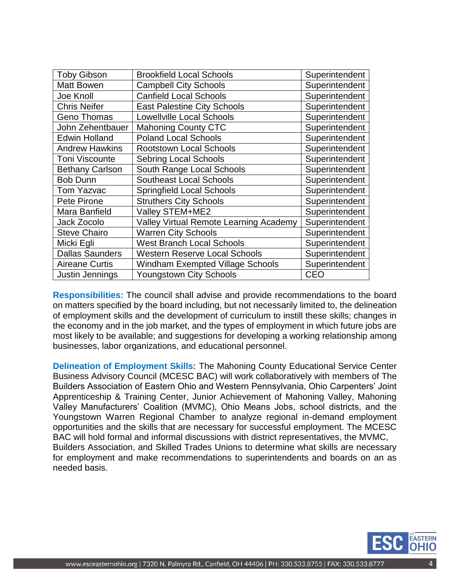| <b>Toby Gibson</b>     | <b>Brookfield Local Schools</b>         | Superintendent |
|------------------------|-----------------------------------------|----------------|
| <b>Matt Bowen</b>      | <b>Campbell City Schools</b>            | Superintendent |
| Joe Knoll              | <b>Canfield Local Schools</b>           | Superintendent |
| <b>Chris Neifer</b>    | <b>East Palestine City Schools</b>      | Superintendent |
| <b>Geno Thomas</b>     | <b>Lowellville Local Schools</b>        | Superintendent |
| John Zehentbauer       | <b>Mahoning County CTC</b>              | Superintendent |
| <b>Edwin Holland</b>   | <b>Poland Local Schools</b>             | Superintendent |
| <b>Andrew Hawkins</b>  | <b>Rootstown Local Schools</b>          | Superintendent |
| <b>Toni Viscounte</b>  | <b>Sebring Local Schools</b>            | Superintendent |
| <b>Bethany Carlson</b> | South Range Local Schools               | Superintendent |
| <b>Bob Dunn</b>        | <b>Southeast Local Schools</b>          | Superintendent |
| <b>Tom Yazvac</b>      | <b>Springfield Local Schools</b>        | Superintendent |
| Pete Pirone            | <b>Struthers City Schools</b>           | Superintendent |
| Mara Banfield          | Valley STEM+ME2                         | Superintendent |
| Jack Zocolo            | Valley Virtual Remote Learning Academy  | Superintendent |
| <b>Steve Chairo</b>    | <b>Warren City Schools</b>              | Superintendent |
| Micki Egli             | <b>West Branch Local Schools</b>        | Superintendent |
| <b>Dallas Saunders</b> | <b>Western Reserve Local Schools</b>    | Superintendent |
| <b>Aireane Curtis</b>  | <b>Windham Exempted Village Schools</b> | Superintendent |
| Justin Jennings        | <b>Youngstown City Schools</b>          | CEO            |

**Responsibilities:** The council shall advise and provide recommendations to the board on matters specified by the board including, but not necessarily limited to, the delineation of employment skills and the development of curriculum to instill these skills; changes in the economy and in the job market, and the types of employment in which future jobs are most likely to be available; and suggestions for developing a working relationship among businesses, labor organizations, and educational personnel.

**Delineation of Employment Skills:** The Mahoning County Educational Service Center Business Advisory Council (MCESC BAC) will work collaboratively with members of The Builders Association of Eastern Ohio and Western Pennsylvania, Ohio Carpenters' Joint Apprenticeship & Training Center, Junior Achievement of Mahoning Valley, Mahoning Valley Manufacturers' Coalition (MVMC), Ohio Means Jobs, school districts, and the Youngstown Warren Regional Chamber to analyze regional in-demand employment opportunities and the skills that are necessary for successful employment. The MCESC BAC will hold formal and informal discussions with district representatives, the MVMC, Builders Association, and Skilled Trades Unions to determine what skills are necessary for employment and make recommendations to superintendents and boards on an as needed basis.

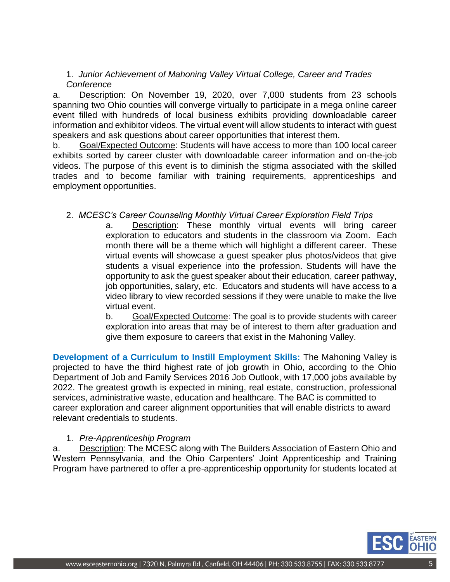1. *Junior Achievement of Mahoning Valley Virtual College, Career and Trades Conference*

a. Description: On November 19, 2020, over 7,000 students from 23 schools spanning two Ohio counties will converge virtually to participate in a mega online career event filled with hundreds of local business exhibits providing downloadable career information and exhibitor videos. The virtual event will allow students to interact with guest speakers and ask questions about career opportunities that interest them.

b. Goal/Expected Outcome: Students will have access to more than 100 local career exhibits sorted by career cluster with downloadable career information and on-the-job videos. The purpose of this event is to diminish the stigma associated with the skilled trades and to become familiar with training requirements, apprenticeships and employment opportunities.

# 2. *MCESC's Career Counseling Monthly Virtual Career Exploration Field Trips*

a. Description: These monthly virtual events will bring career exploration to educators and students in the classroom via Zoom. Each month there will be a theme which will highlight a different career. These virtual events will showcase a guest speaker plus photos/videos that give students a visual experience into the profession. Students will have the opportunity to ask the guest speaker about their education, career pathway, job opportunities, salary, etc. Educators and students will have access to a video library to view recorded sessions if they were unable to make the live virtual event.

b. Goal/Expected Outcome: The goal is to provide students with career exploration into areas that may be of interest to them after graduation and give them exposure to careers that exist in the Mahoning Valley.

**Development of a Curriculum to Instill Employment Skills:** The Mahoning Valley is projected to have the third highest rate of job growth in Ohio, according to the Ohio Department of Job and Family Services 2016 Job Outlook, with 17,000 jobs available by 2022. The greatest growth is expected in mining, real estate, construction, professional services, administrative waste, education and healthcare. The BAC is committed to career exploration and career alignment opportunities that will enable districts to award relevant credentials to students.

## 1. *Pre-Apprenticeship Program*

a. Description: The MCESC along with The Builders Association of Eastern Ohio and Western Pennsylvania, and the Ohio Carpenters' Joint Apprenticeship and Training Program have partnered to offer a pre-apprenticeship opportunity for students located at

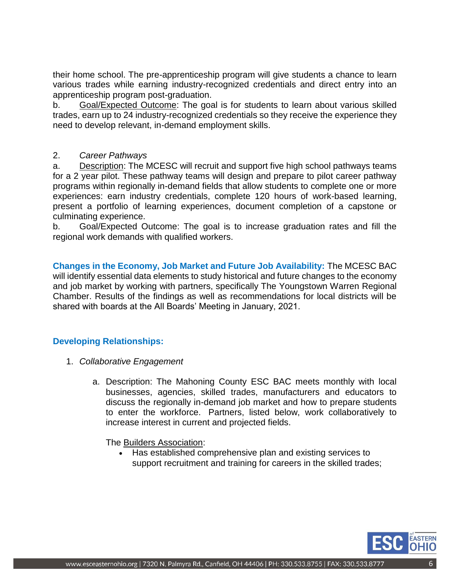their home school. The pre-apprenticeship program will give students a chance to learn various trades while earning industry-recognized credentials and direct entry into an apprenticeship program post-graduation.

b. Goal/Expected Outcome: The goal is for students to learn about various skilled trades, earn up to 24 industry-recognized credentials so they receive the experience they need to develop relevant, in-demand employment skills.

## 2. *Career Pathways*

a. Description: The MCESC will recruit and support five high school pathways teams for a 2 year pilot. These pathway teams will design and prepare to pilot career pathway programs within regionally in-demand fields that allow students to complete one or more experiences: earn industry credentials, complete 120 hours of work-based learning, present a portfolio of learning experiences, document completion of a capstone or culminating experience.

b. Goal/Expected Outcome: The goal is to increase graduation rates and fill the regional work demands with qualified workers.

**Changes in the Economy, Job Market and Future Job Availability:** The MCESC BAC will identify essential data elements to study historical and future changes to the economy and job market by working with partners, specifically The Youngstown Warren Regional Chamber. Results of the findings as well as recommendations for local districts will be shared with boards at the All Boards' Meeting in January, 2021.

## **Developing Relationships:**

- 1. *Collaborative Engagement*
	- a. Description: The Mahoning County ESC BAC meets monthly with local businesses, agencies, skilled trades, manufacturers and educators to discuss the regionally in-demand job market and how to prepare students to enter the workforce. Partners, listed below, work collaboratively to increase interest in current and projected fields.

The Builders Association:

 Has established comprehensive plan and existing services to support recruitment and training for careers in the skilled trades;

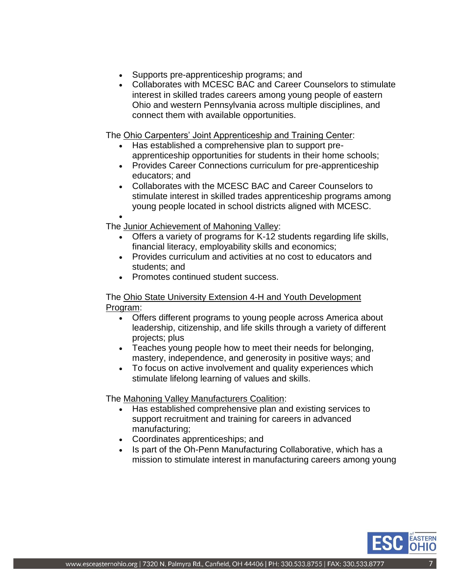- Supports pre-apprenticeship programs; and
- Collaborates with MCESC BAC and Career Counselors to stimulate interest in skilled trades careers among young people of eastern Ohio and western Pennsylvania across multiple disciplines, and connect them with available opportunities.

The Ohio Carpenters' Joint Apprenticeship and Training Center:

- Has established a comprehensive plan to support preapprenticeship opportunities for students in their home schools;
- Provides Career Connections curriculum for pre-apprenticeship educators; and
- Collaborates with the MCESC BAC and Career Counselors to stimulate interest in skilled trades apprenticeship programs among young people located in school districts aligned with MCESC.

 $\bullet$ 

The Junior Achievement of Mahoning Valley:

- Offers a variety of programs for K-12 students regarding life skills, financial literacy, employability skills and economics;
- Provides curriculum and activities at no cost to educators and students; and
- Promotes continued student success.

## The Ohio State University Extension 4-H and Youth Development Program:

- Offers different programs to young people across America about leadership, citizenship, and life skills through a variety of different projects; plus
- Teaches young people how to meet their needs for belonging, mastery, independence, and generosity in positive ways; and
- To focus on active involvement and quality experiences which stimulate lifelong learning of values and skills.

The [Mahoning Valley Manufacturers Coalition:](http://www.industryneedsyou.com/about-us/mvmc/)

- Has established comprehensive plan and existing services to support recruitment and training for careers in advanced manufacturing;
- Coordinates apprenticeships; and
- Is part of the Oh-Penn Manufacturing Collaborative, which has a mission to stimulate interest in manufacturing careers among young

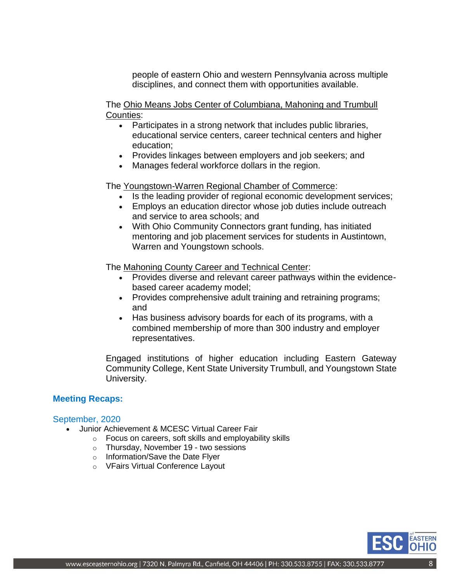people of eastern Ohio and western Pennsylvania across multiple disciplines, and connect them with opportunities available.

The [Ohio Means Jobs Center of Columbiana, Mahoning and Trumbull](https://www.onestopohio.org/oneflow/home.aspx)  [Counties:](https://www.onestopohio.org/oneflow/home.aspx)

- Participates in a strong network that includes public libraries, educational service centers, career technical centers and higher education;
- Provides linkages between employers and job seekers; and
- Manages federal workforce dollars in the region.

The [Youngstown-Warren Regional Chamber of Commerce:](http://www.regionalchamber.com/)

- Is the leading provider of regional economic development services;
- Employs an education director whose job duties include outreach and service to area schools; and
- With Ohio Community Connectors grant funding, has initiated mentoring and job placement services for students in Austintown, Warren and Youngstown schools.

The [Mahoning County Career and Technical Center:](https://mahoningctc.com/)

- Provides diverse and relevant career pathways within the evidencebased career academy model;
- Provides comprehensive adult training and retraining programs; and
- Has business advisory boards for each of its programs, with a combined membership of more than 300 industry and employer representatives.

Engaged institutions of higher education including Eastern Gateway Community College, Kent State University Trumbull, and Youngstown State University.

## **Meeting Recaps:**

#### September, 2020

- Junior Achievement & MCESC Virtual Career Fair
	- o Focus on careers, soft skills and employability skills
	- o Thursday, November 19 two sessions
	- o Information/Save the Date [Flyer](https://drive.google.com/file/d/1EYEx4MoXfOxQDJu8TeiZ5fB221S-hfJ5/view?usp=sharing)
	- o VFairs Virtual Conference [Layout](https://drive.google.com/drive/u/1/my-drive)

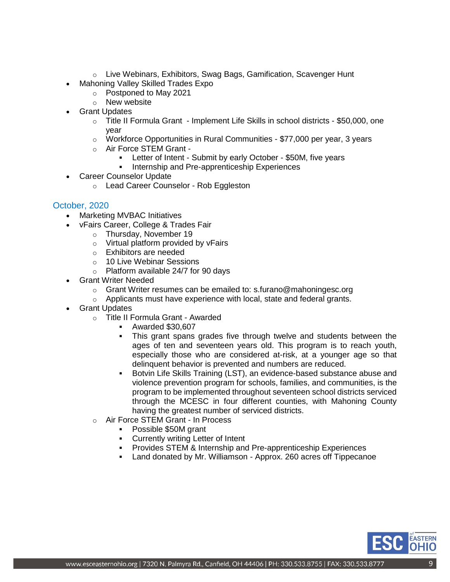- o Live Webinars, Exhibitors, Swag Bags, Gamification, Scavenger Hunt
- Mahoning Valley Skilled Trades Expo
	- o Postponed to May 2021
		- o New [website](https://mvskilledtrades.com/)
- Grant Updates
	- o Title II Formula Grant Implement Life Skills in school districts \$50,000, one year
	- o Workforce Opportunities in Rural Communities \$77,000 per year, 3 years
	- o Air Force STEM Grant
		- Letter of Intent Submit by early October \$50M, five years
		- Internship and Pre-apprenticeship Experiences
- Career Counselor Update
	- o Lead Career Counselor Rob Eggleston

#### October, 2020

- Marketing MVBAC Initiatives
- vFairs Career, College & Trades Fair
	- o Thursday, November 19
		- o Virtual platform provided by vFairs
		- o Exhibitors are needed
		- o 10 Live Webinar Sessions
		- o Platform available 24/7 for 90 days
- Grant Writer Needed
	- o Grant Writer resumes can be emailed to: [s.furano@mahoningesc.org](mailto:s.furano@mahoningesc.org)
	- o Applicants must have experience with local, state and federal grants.
- Grant Updates
	- o Title II Formula Grant Awarded
		- Awarded \$30,607
		- This grant spans grades five through twelve and students between the ages of ten and seventeen years old. This program is to reach youth, especially those who are considered at-risk, at a younger age so that delinquent behavior is prevented and numbers are reduced.
		- Botvin Life Skills Training (LST), an evidence-based substance abuse and violence prevention program for schools, families, and communities, is the program to be implemented throughout seventeen school districts serviced through the MCESC in four different counties, with Mahoning County having the greatest number of serviced districts.
	- o Air Force STEM Grant In Process
		- Possible \$50M grant
		- Currently writing Letter of Intent
		- **Provides STEM & Internship and Pre-apprenticeship Experiences**
		- Land donated by Mr. Williamson Approx. 260 acres off Tippecanoe

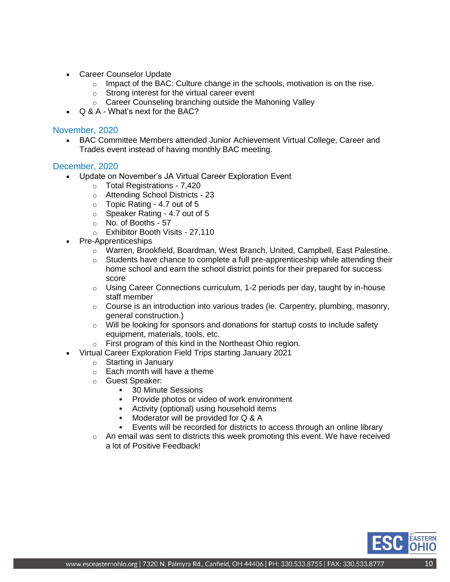- Career Counselor Update
	- $\circ$  Impact of the BAC: Culture change in the schools, motivation is on the rise.
	- o Strong interest for the virtual career event
	- o Career Counseling branching outside the Mahoning Valley
- Q & A What's next for the BAC?

#### November, 2020

 BAC Committee Members attended Junior Achievement Virtual College, Career and Trades event instead of having monthly BAC meeting.

#### December, 2020

- Update on November's JA Virtual Career Exploration Event
	- o Total Registrations 7,420
	- o Attending School Districts 23
	- o Topic Rating 4.7 out of 5
	- o Speaker Rating 4.7 out of 5
	- o No. of Booths 57
	- o Exhibitor Booth Visits 27,110
- Pre-Apprenticeships
	- o Warren, Brookfield, Boardman, West Branch, United, Campbell, East Palestine.
	- $\circ$  Students have chance to complete a full pre-apprenticeship while attending their home school and earn the school district points for their prepared for success score
	- $\circ$  Using Career Connections curriculum, 1-2 periods per day, taught by in-house staff member
	- $\circ$  Course is an introduction into various trades (ie. Carpentry, plumbing, masonry, general construction.)
	- $\circ$  Will be looking for sponsors and donations for startup costs to include safety equipment, materials, tools, etc.
	- o First program of this kind in the Northeast Ohio region.
- Virtual Career Exploration Field Trips starting January 2021
	- o Starting in January
	- $\circ$  Each month will have a theme
	- o Guest Speaker:
		- **30 Minute Sessions**
		- Provide photos or video of work environment
		- **Activity (optional) using household items**
		- Moderator will be provided for Q & A
		- Events will be recorded for districts to access through an online library
	- o An email was sent to districts this week promoting this event. We have received a lot of Positive Feedback!

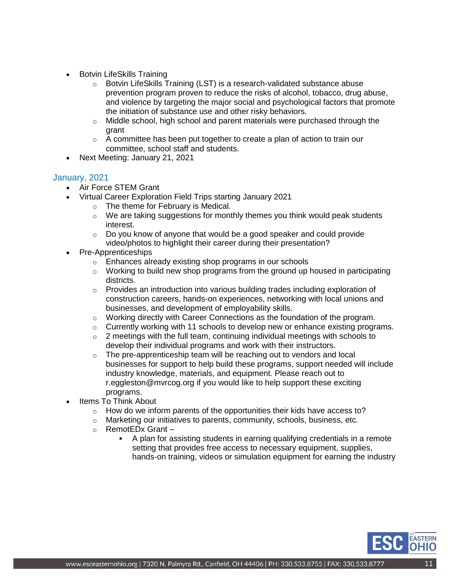- Botvin LifeSkills Training
	- o Botvin LifeSkills Training (LST) is a research-validated substance abuse prevention program proven to reduce the risks of alcohol, tobacco, drug abuse, and violence by targeting the major social and psychological factors that promote the initiation of substance use and other risky behaviors.
	- $\circ$  Middle school, high school and parent materials were purchased through the grant
	- $\circ$  A committee has been put together to create a plan of action to train our committee, school staff and students.
- Next Meeting: January 21, 2021

### January, 2021

- Air Force STEM Grant
- Virtual Career Exploration Field Trips starting January 2021
	- o The theme for February is Medical.
	- $\circ$  We are taking suggestions for monthly themes you think would peak students interest.
	- $\circ$  Do you know of anyone that would be a good speaker and could provide video/photos to highlight their career during their presentation?
- Pre-Apprenticeships
	- o Enhances already existing shop programs in our schools
	- o Working to build new shop programs from the ground up housed in participating districts.
	- $\circ$  Provides an introduction into various building trades including exploration of construction careers, hands-on experiences, networking with local unions and businesses, and development of employability skills.
	- $\circ$  Working directly with Career Connections as the foundation of the program.
	- $\circ$  Currently working with 11 schools to develop new or enhance existing programs.
	- $\circ$  2 meetings with the full team, continuing individual meetings with schools to develop their individual programs and work with their instructors.
	- $\circ$  The pre-apprenticeship team will be reaching out to vendors and local businesses for support to help build these programs, support needed will include industry knowledge, materials, and equipment. Please reach out to [r.eggleston@mvrcog.org](mailto:r.eggleston@mvrcog.org) if you would like to help support these exciting programs.
- Items To Think About
	- $\circ$  How do we inform parents of the opportunities their kids have access to?
	- o Marketing our initiatives to parents, community, schools, business, etc.
	- o RemotEDx Grant
		- A plan for assisting students in earning qualifying credentials in a remote setting that provides free access to necessary equipment, supplies, hands-on training, videos or simulation equipment for earning the industry